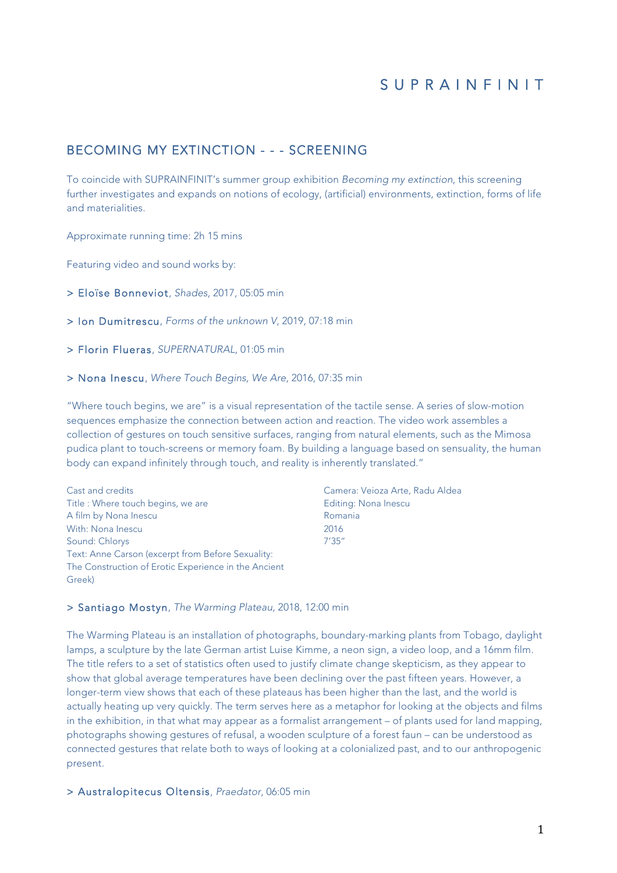# S U P R A I N F I N I T

## BECOMING MY EXTINCTION - - - SCREENING

To coincide with SUPRAINFINIT's summer group exhibition *Becoming my extinction*, this screening further investigates and expands on notions of ecology, (artificial) environments, extinction, forms of life and materialities.

Approximate running time: 2h 15 mins

Featuring video and sound works by:

> Eloïse Bonneviot, *Shades*, 2017, 05:05 min

> Ion Dumitrescu, *Forms of the unknown V*, 2019, 07:18 min

> Florin Flueras, *SUPERNATURAL*, 01:05 min

> Nona Inescu, *Where Touch Begins, We Are*, 2016, 07:35 min

"Where touch begins, we are" is a visual representation of the tactile sense. A series of slow-motion sequences emphasize the connection between action and reaction. The video work assembles a collection of gestures on touch sensitive surfaces, ranging from natural elements, such as the Mimosa pudica plant to touch-screens or memory foam. By building a language based on sensuality, the human body can expand infinitely through touch, and reality is inherently translated."

Cast and credits Title : Where touch begins, we are A film by Nona Inescu With: Nona Inescu Sound: Chlorys Text: Anne Carson (excerpt from Before Sexuality: The Construction of Erotic Experience in the Ancient Greek)

Camera: Veioza Arte, Radu Aldea Editing: Nona Inescu Romania 2016 7'35"

#### > Santiago Mostyn, *The Warming Plateau*, 2018, 12:00 min

The Warming Plateau is an installation of photographs, boundary-marking plants from Tobago, daylight lamps, a sculpture by the late German artist Luise Kimme, a neon sign, a video loop, and a 16mm film. The title refers to a set of statistics often used to justify climate change skepticism, as they appear to show that global average temperatures have been declining over the past fifteen years. However, a longer-term view shows that each of these plateaus has been higher than the last, and the world is actually heating up very quickly. The term serves here as a metaphor for looking at the objects and films in the exhibition, in that what may appear as a formalist arrangement – of plants used for land mapping, photographs showing gestures of refusal, a wooden sculpture of a forest faun – can be understood as connected gestures that relate both to ways of looking at a colonialized past, and to our anthropogenic present.

> Australopitecus Oltensis, *Praedator*, 06:05 min